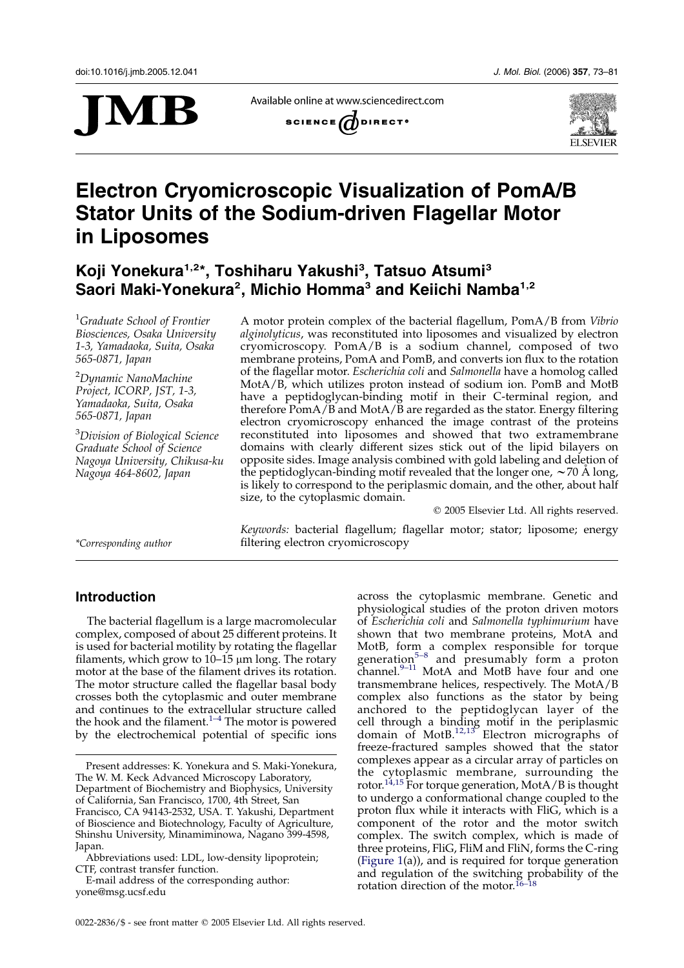

Available online at www.sciencedirect.com





# Electron Cryomicroscopic Visualization of PomA/B Stator Units of the Sodium-driven Flagellar Motor in Liposomes

# Koji Yonekura<sup>1,2\*</sup>, Toshiharu Yakushi<sup>3</sup>, Tatsuo Atsumi<sup>3</sup> Saori Maki-Yonekura<sup>2</sup>, Michio Homma $^3$  and Keiichi Namba $^{1,2}$

<sup>1</sup>Graduate School of Frontier Biosciences, Osaka University 1-3, Yamadaoka, Suita, Osaka 565-0871, Japan

<sup>2</sup>Dynamic NanoMachine Project, ICORP, JST, 1-3, Yamadaoka, Suita, Osaka 565-0871, Japan

<sup>3</sup>Division of Biological Science Graduate School of Science Nagoya University, Chikusa-ku Nagoya 464-8602, Japan

A motor protein complex of the bacterial flagellum, PomA/B from Vibrio alginolyticus, was reconstituted into liposomes and visualized by electron cryomicroscopy. PomA/B is a sodium channel, composed of two membrane proteins, PomA and PomB, and converts ion flux to the rotation of the flagellar motor. Escherichia coli and Salmonella have a homolog called MotA/B, which utilizes proton instead of sodium ion. PomB and MotB have a peptidoglycan-binding motif in their C-terminal region, and therefore  $\overline{PomA/B}$  and  $\overline{M_0A/B}$  are regarded as the stator. Energy filtering electron cryomicroscopy enhanced the image contrast of the proteins reconstituted into liposomes and showed that two extramembrane domains with clearly different sizes stick out of the lipid bilayers on opposite sides. Image analysis combined with gold labeling and deletion of the peptidoglycan-binding motif revealed that the longer one,  $\sim$  70 A long, is likely to correspond to the periplasmic domain, and the other, about half size, to the cytoplasmic domain.

 $©$  2005 Elsevier Ltd. All rights reserved.

Keywords: bacterial flagellum; flagellar motor; stator; liposome; energy \*Corresponding author filtering electron cryomicroscopy

# Introduction

The bacterial flagellum is a large macromolecular complex, composed of about 25 different proteins. It is used for bacterial motility by rotating the flagellar filaments, which grow to  $10-15$  µm long. The rotary motor at the base of the filament drives its rotation. The motor structure called the flagellar basal body crosses both the cytoplasmic and outer membrane and continues to the extracellular structure called the hook and the filament. $1-4$  The motor is powered by the electrochemical potential of specific ions

E-mail address of the corresponding author: yone@msg.ucsf.edu

across the cytoplasmic membrane. Genetic and physiological studies of the proton driven motors of Escherichia coli and Salmonella typhimurium have shown that two membrane proteins, MotA and MotB, form a complex responsible for torque generation<sup>[5–8](#page-7-0)</sup> and presumably form a proton channel.<sup>9-11</sup> MotA and MotB have four and one transmembrane helices, respectively. The MotA/B complex also functions as the stator by being anchored to the peptidoglycan layer of the cell through a binding motif in the periplasmic domain of MotB. $12,13$  Electron micrographs of freeze-fractured samples showed that the stator complexes appear as a circular array of particles on the cytoplasmic membrane, surrounding the rotor.<sup>[14,15](#page-7-0)</sup> For torque generation, MotA/B is thought to undergo a conformational change coupled to the proton flux while it interacts with FliG, which is a component of the rotor and the motor switch complex. The switch complex, which is made of three proteins, FliG, FliM and FliN, forms the C-ring [\(Figure 1\(](#page-1-0)a)), and is required for torque generation and regulation of the switching probability of the rotation direction of the motor.<sup>[16–18](#page-7-0)</sup>

Present addresses: K. Yonekura and S. Maki-Yonekura, The W. M. Keck Advanced Microscopy Laboratory, Department of Biochemistry and Biophysics, University of California, San Francisco, 1700, 4th Street, San Francisco, CA 94143-2532, USA. T. Yakushi, Department of Bioscience and Biotechnology, Faculty of Agriculture, Shinshu University, Minamiminowa, Nagano 399-4598, Japan.

Abbreviations used: LDL, low-density lipoprotein; CTF, contrast transfer function.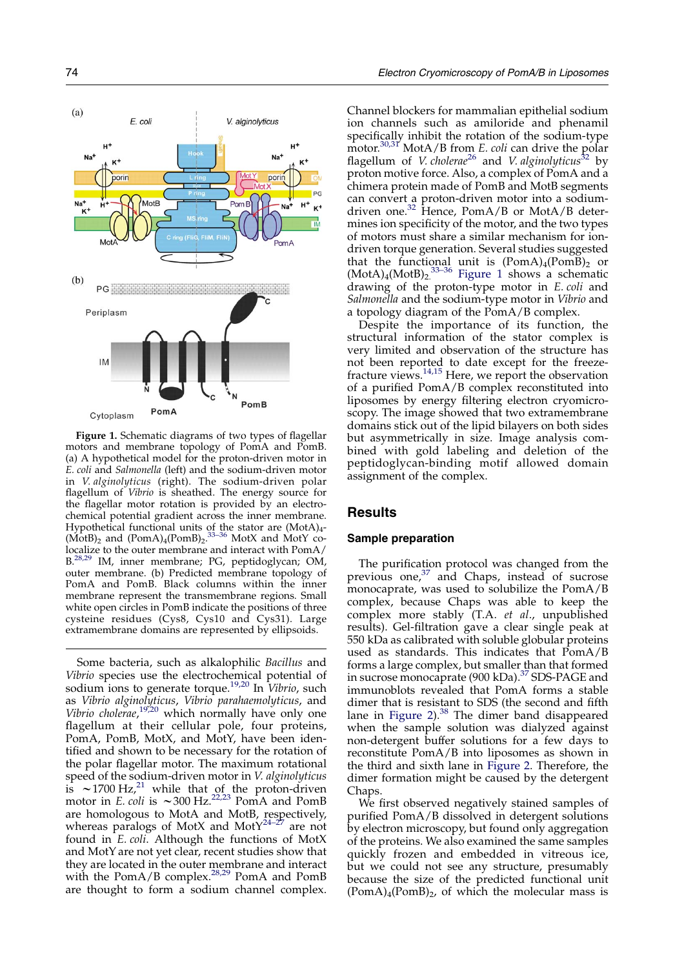<span id="page-1-0"></span>

Figure 1. Schematic diagrams of two types of flagellar motors and membrane topology of PomA and PomB. (a) A hypothetical model for the proton-driven motor in E. coli and Salmonella (left) and the sodium-driven motor in V. alginolyticus (right). The sodium-driven polar flagellum of Vibrio is sheathed. The energy source for the flagellar motor rotation is provided by an electrochemical potential gradient across the inner membrane. Hypothetical functional units of the stator are  $(Mot A)_{4}$ - $(MotB)_2$  and  $(PomA)_4(PomB)_2$ .<sup>[33–36](#page-7-0)</sup> MotX and MotY co-localize to the outer membrane and interact with PomA/<br>B.<sup>[28,29](#page-7-0)</sup> IM, inner membrane; PG, peptidoglycan; OM, outer membrane. (b) Predicted membrane topology of PomA and PomB. Black columns within the inner membrane represent the transmembrane regions. Small white open circles in PomB indicate the positions of three cysteine residues (Cys8, Cys10 and Cys31). Large extramembrane domains are represented by ellipsoids.

Some bacteria, such as alkalophilic Bacillus and Vibrio species use the electrochemical potential of sodium ions to generate torque.<sup>[19,20](#page-7-0)</sup> In Vibrio, such as Vibrio alginolyticus, Vibrio parahaemolyticus, and Vibrio cholerae,<sup>[19,20](#page-7-0)</sup> which normally have only one flagellum at their cellular pole, four proteins, PomA, PomB, MotX, and MotY, have been identified and shown to be necessary for the rotation of the polar flagellar motor. The maximum rotational speed of the sodium-driven motor in V. alginolyticus is  $\sim$ 1700 Hz,<sup>[21](#page-7-0)</sup> while that of the proton-driven motor in *E. coli* is  $\sim$  300 Hz.<sup>[22,23](#page-7-0)</sup> PomA and PomB are homologous to MotA and MotB, respectively, whereas paralogs of MotX and Mot $Y^{24-27}$  are not found in E. coli. Although the functions of MotX and MotY are not yet clear, recent studies show that they are located in the outer membrane and interact with the PomA/B complex.<sup>[28,29](#page-7-0)</sup> PomA and PomB are thought to form a sodium channel complex. Channel blockers for mammalian epithelial sodium ion channels such as amiloride and phenamil specifically inhibit the rotation of the sodium-type motor.<sup>[30,31](#page-7-0)</sup> MotA/B from *E. coli* can drive the polar flagellum of *V. cholerae*<sup>[26](#page-7-0)</sup> and *V. alginolyticus*<sup>[32](#page-7-0)</sup> by proton motive force. Also, a complex of PomA and a chimera protein made of PomB and MotB segments can convert a proton-driven motor into a sodium-driven one.<sup>[32](#page-7-0)</sup> Hence, PomA/B or MotA/B determines ion specificity of the motor, and the two types of motors must share a similar mechanism for iondriven torque generation. Several studies suggested that the functional unit is  $(PomA)_{4}(PomB)_{2}$  or  $(MotA)<sub>4</sub>(MotB)<sub>2</sub>$ <sup>33-36</sup> Figure 1 shows a schematic drawing of the proton-type motor in E. coli and Salmonella and the sodium-type motor in Vibrio and a topology diagram of the PomA/B complex.

Despite the importance of its function, the structural information of the stator complex is very limited and observation of the structure has not been reported to date except for the freeze-fracture views.<sup>[14,15](#page-7-0)</sup> Here, we report the observation of a purified PomA/B complex reconstituted into liposomes by energy filtering electron cryomicroscopy. The image showed that two extramembrane domains stick out of the lipid bilayers on both sides but asymmetrically in size. Image analysis combined with gold labeling and deletion of the peptidoglycan-binding motif allowed domain assignment of the complex.

# Results

#### Sample preparation

The purification protocol was changed from the previous one, $37$  and Chaps, instead of sucrose monocaprate, was used to solubilize the PomA/B complex, because Chaps was able to keep the complex more stably (T.A. et al., unpublished results). Gel-filtration gave a clear single peak at 550 kDa as calibrated with soluble globular proteins used as standards. This indicates that PomA/B forms a large complex, but smaller than that formed in sucrose monocaprate (900 kDa).<sup>[37](#page-7-0)</sup> SDS-PAGE and immunoblots revealed that PomA forms a stable dimer that is resistant to SDS (the second and fifth lane in [Figure 2\)](#page-2-0).<sup>[38](#page-8-0)</sup> The dimer band disappeared when the sample solution was dialyzed against non-detergent buffer solutions for a few days to reconstitute PomA/B into liposomes as shown in the third and sixth lane in [Figure 2.](#page-2-0) Therefore, the dimer formation might be caused by the detergent Chaps.

We first observed negatively stained samples of purified PomA/B dissolved in detergent solutions by electron microscopy, but found only aggregation of the proteins. We also examined the same samples quickly frozen and embedded in vitreous ice, but we could not see any structure, presumably because the size of the predicted functional unit  $(PomA)<sub>4</sub>(PomB)<sub>2</sub>$ , of which the molecular mass is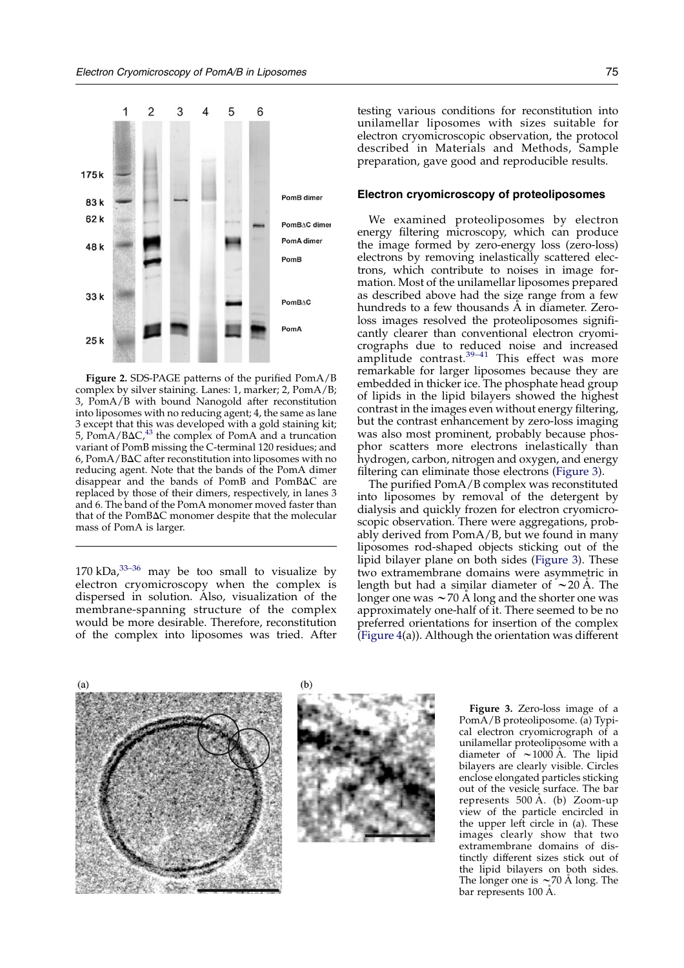<span id="page-2-0"></span>

Figure 2. SDS-PAGE patterns of the purified PomA/B complex by silver staining. Lanes: 1, marker; 2, PomA/B; 3, PomA/B with bound Nanogold after reconstitution into liposomes with no reducing agent; 4, the same as lane 3 except that this was developed with a gold staining kit;  $5, PomA/BAC<sup>43</sup>$  $5, PomA/BAC<sup>43</sup>$  $5, PomA/BAC<sup>43</sup>$ , the complex of PomA and a truncation variant of PomB missing the C-terminal 120 residues; and  $6$ , PomA/B $\Delta$ C after reconstitution into liposomes with no reducing agent. Note that the bands of the PomA dimer disappear and the bands of PomB and PomB $\Delta C$  are replaced by those of their dimers, respectively, in lanes 3 and 6. The band of the PomA monomer moved faster than that of the PomB $\Delta C$  monomer despite that the molecular mass of PomA is larger.

170 kDa, $33-36$  may be too small to visualize by electron cryomicroscopy when the complex is dispersed in solution. Also, visualization of the membrane-spanning structure of the complex would be more desirable. Therefore, reconstitution of the complex into liposomes was tried. After

testing various conditions for reconstitution into unilamellar liposomes with sizes suitable for electron cryomicroscopic observation, the protocol described in Materials and Methods, Sample preparation, gave good and reproducible results.

#### Electron cryomicroscopy of proteoliposomes

We examined proteoliposomes by electron energy filtering microscopy, which can produce the image formed by zero-energy loss (zero-loss) electrons by removing inelastically scattered electrons, which contribute to noises in image formation. Most of the unilamellar liposomes prepared as described above had the size range from a few hundreds to a few thousands A in diameter. Zeroloss images resolved the proteoliposomes significantly clearer than conventional electron cryomicrographs due to reduced noise and increased amplitude contrast.<sup>[39–41](#page-8-0)</sup> This effect was more remarkable for larger liposomes because they are embedded in thicker ice. The phosphate head group of lipids in the lipid bilayers showed the highest contrast in the images even without energy filtering, but the contrast enhancement by zero-loss imaging was also most prominent, probably because phosphor scatters more electrons inelastically than hydrogen, carbon, nitrogen and oxygen, and energy filtering can eliminate those electrons (Figure 3).

The purified PomA/B complex was reconstituted into liposomes by removal of the detergent by dialysis and quickly frozen for electron cryomicroscopic observation. There were aggregations, probably derived from PomA/B, but we found in many liposomes rod-shaped objects sticking out of the lipid bilayer plane on both sides (Figure 3). These two extramembrane domains were asymmetric in length but had a similar diameter of  $\sim$  20 Å. The longer one was  $\sim$  70 Å long and the shorter one was approximately one-half of it. There seemed to be no preferred orientations for insertion of the complex [\(Figure 4\(](#page-3-0)a)). Although the orientation was different



 $(b)$ 



Figure 3. Zero-loss image of a PomA/B proteoliposome. (a) Typical electron cryomicrograph of a unilamellar proteoliposome with a diameter of  $\sim 1000$  Å. The lipid bilayers are clearly visible. Circles enclose elongated particles sticking out of the vesicle surface. The bar represents 500 Å. (b) Zoom-up view of the particle encircled in the upper left circle in (a). These images clearly show that two extramembrane domains of distinctly different sizes stick out of the lipid bilayers on both sides. The longer one is  $\sim$  70 A long. The bar represents 100 A.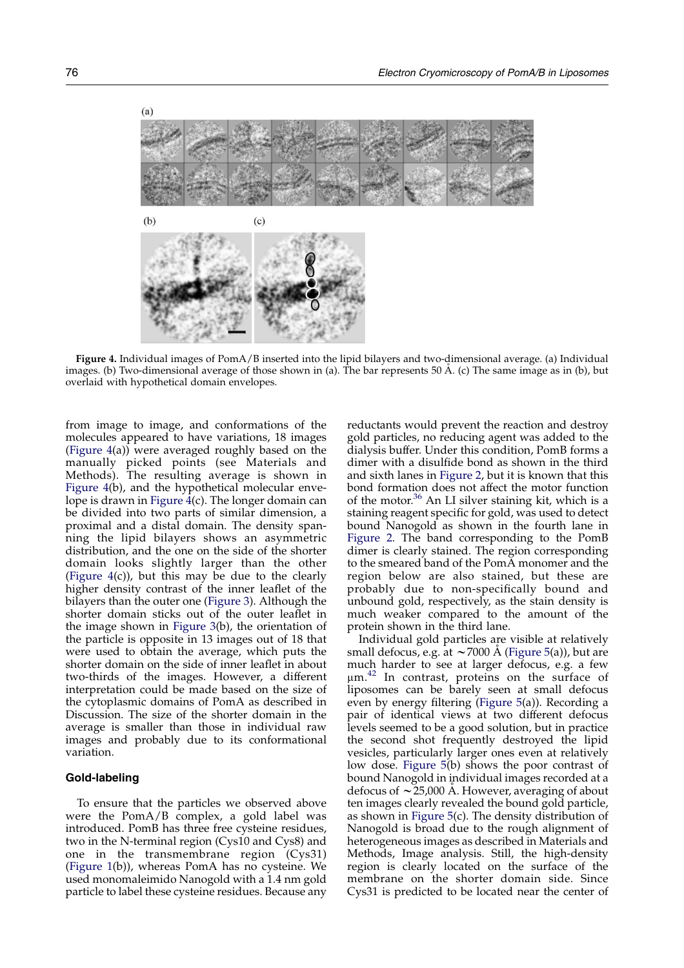<span id="page-3-0"></span>

Figure 4. Individual images of PomA/B inserted into the lipid bilayers and two-dimensional average. (a) Individual images. (b) Two-dimensional average of those shown in (a). The bar represents 50 Å. (c) The same image as in (b), but overlaid with hypothetical domain envelopes.

from image to image, and conformations of the molecules appeared to have variations, 18 images (Figure  $4(a)$ ) were averaged roughly based on the manually picked points (see Materials and Methods). The resulting average is shown in Figure 4(b), and the hypothetical molecular envelope is drawn in Figure  $4(c)$ . The longer domain can be divided into two parts of similar dimension, a proximal and a distal domain. The density spanning the lipid bilayers shows an asymmetric distribution, and the one on the side of the shorter domain looks slightly larger than the other (Figure  $4(c)$ ), but this may be due to the clearly higher density contrast of the inner leaflet of the bilayers than the outer one ([Figure 3\)](#page-2-0). Although the shorter domain sticks out of the outer leaflet in the image shown in [Figure 3\(](#page-2-0)b), the orientation of the particle is opposite in 13 images out of 18 that were used to obtain the average, which puts the shorter domain on the side of inner leaflet in about two-thirds of the images. However, a different interpretation could be made based on the size of the cytoplasmic domains of PomA as described in Discussion. The size of the shorter domain in the average is smaller than those in individual raw images and probably due to its conformational variation.

#### Gold-labeling

To ensure that the particles we observed above were the PomA/B complex, a gold label was introduced. PomB has three free cysteine residues, two in the N-terminal region (Cys10 and Cys8) and one in the transmembrane region (Cys31) [\(Figure 1](#page-1-0)(b)), whereas PomA has no cysteine. We used monomaleimido Nanogold with a 1.4 nm gold particle to label these cysteine residues. Because any reductants would prevent the reaction and destroy gold particles, no reducing agent was added to the dialysis buffer. Under this condition, PomB forms a dimer with a disulfide bond as shown in the third and sixth lanes in [Figure 2,](#page-2-0) but it is known that this bond formation does not affect the motor function of the motor.<sup>[36](#page-7-0)</sup> An LI silver staining kit, which is a staining reagent specific for gold, was used to detect bound Nanogold as shown in the fourth lane in [Figure 2](#page-2-0). The band corresponding to the PomB dimer is clearly stained. The region corresponding to the smeared band of the PomA monomer and the region below are also stained, but these are probably due to non-specifically bound and unbound gold, respectively, as the stain density is much weaker compared to the amount of the protein shown in the third lane.

Individual gold particles are visible at relatively small defocus, e.g. at  $\sim$  7000 Å [\(Figure 5](#page-4-0)(a)), but are much harder to see at larger defocus, e.g. a few  $\mu$ m.<sup>[42](#page-8-0)</sup> In contrast, proteins on the surface of liposomes can be barely seen at small defocus even by energy filtering [\(Figure 5](#page-4-0)(a)). Recording a pair of identical views at two different defocus levels seemed to be a good solution, but in practice the second shot frequently destroyed the lipid vesicles, particularly larger ones even at relatively low dose. [Figure 5\(](#page-4-0)b) shows the poor contrast of bound Nanogold in individual images recorded at a defocus of  $\sim$  25,000 Å. However, averaging of about ten images clearly revealed the bound gold particle, as shown in [Figure 5](#page-4-0)(c). The density distribution of Nanogold is broad due to the rough alignment of heterogeneous images as described in Materials and Methods, Image analysis. Still, the high-density region is clearly located on the surface of the membrane on the shorter domain side. Since Cys31 is predicted to be located near the center of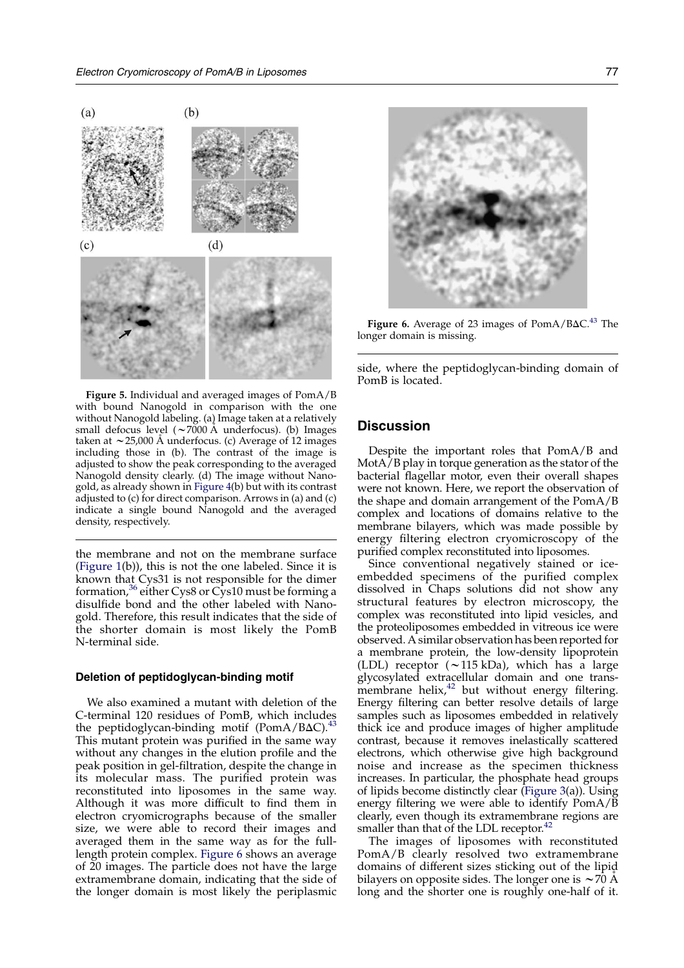<span id="page-4-0"></span>

Figure 5. Individual and averaged images of PomA/B with bound Nanogold in comparison with the one without Nanogold labeling. (a) Image taken at a relatively small defocus level  $({\sim}7000 \text{ Å}$  underfocus). (b) Images taken at  $\sim$  25,000 Å underfocus. (c) Average of 12 images including those in (b). The contrast of the image is adjusted to show the peak corresponding to the averaged Nanogold density clearly. (d) The image without Nanogold, as already shown in [Figure 4](#page-3-0)(b) but with its contrast adjusted to (c) for direct comparison. Arrows in (a) and (c) indicate a single bound Nanogold and the averaged density, respectively.

the membrane and not on the membrane surface [\(Figure 1](#page-1-0)(b)), this is not the one labeled. Since it is known that Cys31 is not responsible for the dimer formation,  $36$  either Cys8 or Cys10 must be forming a disulfide bond and the other labeled with Nanogold. Therefore, this result indicates that the side of the shorter domain is most likely the PomB N-terminal side.

#### Deletion of peptidoglycan-binding motif

We also examined a mutant with deletion of the C-terminal 120 residues of PomB, which includes the peptidoglycan-binding motif (PomA/B $\Delta$ C).<sup>[43](#page-8-0)</sup> This mutant protein was purified in the same way without any changes in the elution profile and the peak position in gel-filtration, despite the change in its molecular mass. The purified protein was reconstituted into liposomes in the same way. Although it was more difficult to find them in electron cryomicrographs because of the smaller size, we were able to record their images and averaged them in the same way as for the fulllength protein complex. Figure 6 shows an average of 20 images. The particle does not have the large extramembrane domain, indicating that the side of the longer domain is most likely the periplasmic



Figure 6. Average of 23 images of  $PomA/B\Delta C$ <sup>[43](#page-8-0)</sup> The longer domain is missing.

side, where the peptidoglycan-binding domain of PomB is located.

## **Discussion**

Despite the important roles that PomA/B and MotA/B play in torque generation as the stator of the bacterial flagellar motor, even their overall shapes were not known. Here, we report the observation of the shape and domain arrangement of the PomA/B complex and locations of domains relative to the membrane bilayers, which was made possible by energy filtering electron cryomicroscopy of the purified complex reconstituted into liposomes.

Since conventional negatively stained or iceembedded specimens of the purified complex dissolved in Chaps solutions did not show any structural features by electron microscopy, the complex was reconstituted into lipid vesicles, and the proteoliposomes embedded in vitreous ice were observed. A similar observation has been reported for a membrane protein, the low-density lipoprotein (LDL) receptor  $(\sim 115 \text{ kDa})$ , which has a large glycosylated extracellular domain and one transmembrane helix, $42$  but without energy filtering. Energy filtering can better resolve details of large samples such as liposomes embedded in relatively thick ice and produce images of higher amplitude contrast, because it removes inelastically scattered electrons, which otherwise give high background noise and increase as the specimen thickness increases. In particular, the phosphate head groups of lipids become distinctly clear [\(Figure 3](#page-2-0)(a)). Using energy filtering we were able to identify PomA/B clearly, even though its extramembrane regions are smaller than that of the LDL receptor. $42$ 

The images of liposomes with reconstituted PomA/B clearly resolved two extramembrane domains of different sizes sticking out of the lipid bilayers on opposite sides. The longer one is  $\sim$  70 Å long and the shorter one is roughly one-half of it.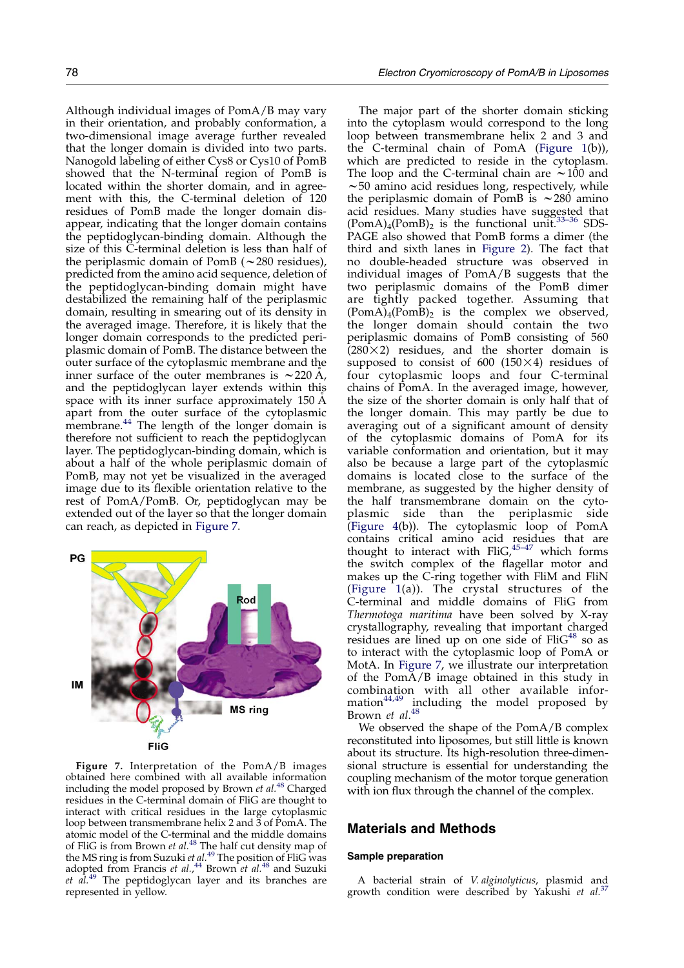Although individual images of PomA/B may vary in their orientation, and probably conformation, a two-dimensional image average further revealed that the longer domain is divided into two parts. Nanogold labeling of either Cys8 or Cys10 of PomB showed that the N-terminal region of PomB is located within the shorter domain, and in agreement with this, the C-terminal deletion of 120 residues of PomB made the longer domain disappear, indicating that the longer domain contains the peptidoglycan-binding domain. Although the size of this C-terminal deletion is less than half of the periplasmic domain of PomB ( $\sim$ 280 residues), predicted from the amino acid sequence, deletion of the peptidoglycan-binding domain might have destabilized the remaining half of the periplasmic domain, resulting in smearing out of its density in the averaged image. Therefore, it is likely that the longer domain corresponds to the predicted periplasmic domain of PomB. The distance between the outer surface of the cytoplasmic membrane and the inner surface of the outer membranes is  $\sim$  220 Å, and the peptidoglycan layer extends within this space with its inner surface approximately 150 Å apart from the outer surface of the cytoplasmic membrane.<sup>[44](#page-8-0)</sup> The length of the longer domain is therefore not sufficient to reach the peptidoglycan layer. The peptidoglycan-binding domain, which is about a half of the whole periplasmic domain of PomB, may not yet be visualized in the averaged image due to its flexible orientation relative to the rest of PomA/PomB. Or, peptidoglycan may be extended out of the layer so that the longer domain can reach, as depicted in Figure 7.



Figure 7. Interpretation of the PomA/B images obtained here combined with all available information including the model proposed by Brown  $et$   $al.^{48}$  $al.^{48}$  $al.^{48}$  Charged residues in the C-terminal domain of FliG are thought to interact with critical residues in the large cytoplasmic loop between transmembrane helix 2 and 3 of PomA. The atomic model of the C-terminal and the middle domains of FliG is from Brown *et al*.<sup>[48](#page-8-0)</sup> The half cut density map of the MS ring is from Suzuki et al.<sup>[49](#page-8-0)</sup> The position of FliG was adopted from Francis et al.,<sup>[44](#page-8-0)</sup> Brown et al.<sup>[48](#page-8-0)</sup> and Suzuki  $et \dot{a}$ .<sup>[49](#page-8-0)</sup> The peptidoglycan layer and its branches are represented in yellow.

The major part of the shorter domain sticking into the cytoplasm would correspond to the long loop between transmembrane helix 2 and 3 and the C-terminal chain of PomA ([Figure 1\(](#page-1-0)b)), which are predicted to reside in the cytoplasm. The loop and the C-terminal chain are  $\sim$ 100 and  $\sim$  50 amino acid residues long, respectively, while the periplasmic domain of PomB is  $\sim$ 280 amino acid residues. Many studies have suggested that  $(PomA)<sub>4</sub>(PomB)<sub>2</sub>$  is the functional unit.<sup>[33–36](#page-7-0)</sup> SDS-PAGE also showed that PomB forms a dimer (the third and sixth lanes in [Figure 2](#page-2-0)). The fact that no double-headed structure was observed in individual images of PomA/B suggests that the two periplasmic domains of the PomB dimer are tightly packed together. Assuming that  $(PomA)<sub>4</sub>(PomB)<sub>2</sub>$  is the complex we observed, the longer domain should contain the two periplasmic domains of PomB consisting of 560  $(280 \times 2)$  residues, and the shorter domain is supposed to consist of 600 (150 $\times$ 4) residues of four cytoplasmic loops and four C-terminal chains of PomA. In the averaged image, however, the size of the shorter domain is only half that of the longer domain. This may partly be due to averaging out of a significant amount of density of the cytoplasmic domains of PomA for its variable conformation and orientation, but it may also be because a large part of the cytoplasmic domains is located close to the surface of the membrane, as suggested by the higher density of the half transmembrane domain on the cytoplasmic side than the periplasmic side [\(Figure 4\(](#page-3-0)b)). The cytoplasmic loop of PomA contains critical amino acid residues that are thought to interact with FliG, $45-47$  which forms the switch complex of the flagellar motor and makes up the C-ring together with FliM and FliN (Figure  $1(a)$ ). The crystal structures of the C-terminal and middle domains of FliG from Thermotoga maritima have been solved by X-ray crystallography, revealing that important charged residues are lined up on one side of  $FliG<sup>48</sup>$  $FliG<sup>48</sup>$  $FliG<sup>48</sup>$  so as to interact with the cytoplasmic loop of PomA or MotA. In Figure 7, we illustrate our interpretation of the PomA/B image obtained in this study in combination with all other available infor-mation<sup>[44,49](#page-8-0)</sup> including the model proposed by Brown et al.<sup>[48](#page-8-0)</sup>

We observed the shape of the PomA/B complex reconstituted into liposomes, but still little is known about its structure. Its high-resolution three-dimensional structure is essential for understanding the coupling mechanism of the motor torque generation with ion flux through the channel of the complex.

### Materials and Methods

#### Sample preparation

A bacterial strain of V. alginolyticus, plasmid and growth condition were described by Yakushi et al.<sup>[37](#page-7-0)</sup>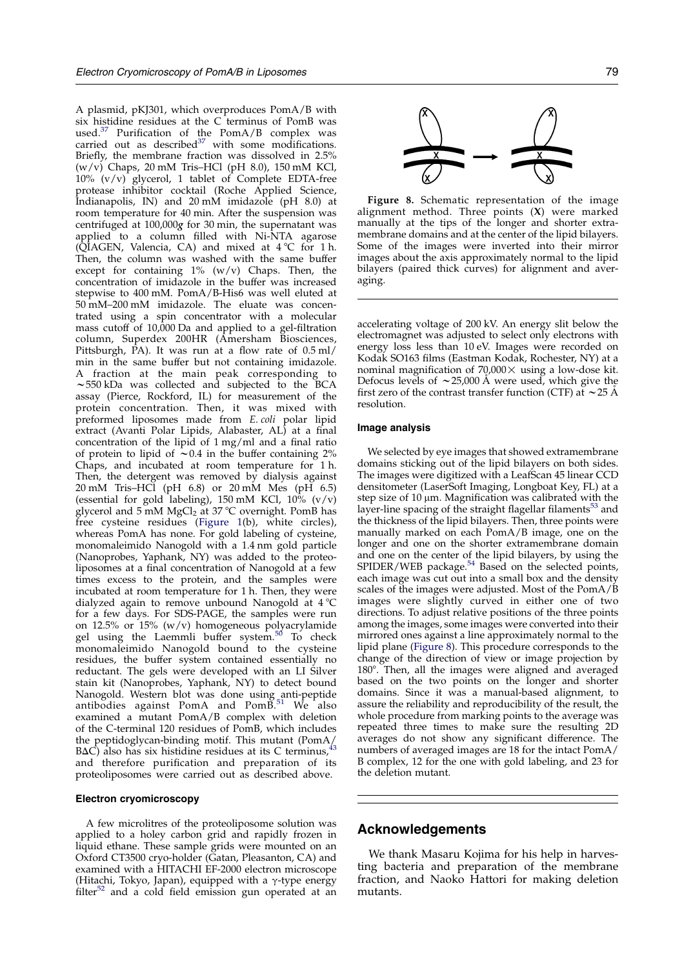A plasmid, pKJ301, which overproduces PomA/B with six histidine residues at the C terminus of PomB was used.[37](#page-7-0) Purification of the PomA/B complex was carried out as described $37$  with some modifications. Briefly, the membrane fraction was dissolved in 2.5% (w/v) Chaps, 20 mM Tris–HCl (pH 8.0), 150 mM KCl,  $10\%$  (v/v) glycerol, 1 tablet of Complete EDTA-free protease inhibitor cocktail (Roche Applied Science, Indianapolis, IN) and 20 mM imidazole (pH 8.0) at room temperature for 40 min. After the suspension was centrifuged at 100,000g for 30 min, the supernatant was applied to a column filled with Ni-NTA agarose ( $\widehat{Q}$ IAGEN, Valencia, CA) and mixed at 4 °C for 1 h. Then, the column was washed with the same buffer except for containing  $1\%$  (w/v) Chaps. Then, the concentration of imidazole in the buffer was increased stepwise to 400 mM. PomA/B-His6 was well eluted at 50 mM–200 mM imidazole. The eluate was concentrated using a spin concentrator with a molecular mass cutoff of 10,000 Da and applied to a gel-filtration column, Superdex 200HR (Amersham Biosciences, Pittsburgh, PA). It was run at a flow rate of 0.5 ml/ min in the same buffer but not containing imidazole. A fraction at the main peak corresponding to  $\sim$  550 kDa was collected and subjected to the BCA assay (Pierce, Rockford, IL) for measurement of the protein concentration. Then, it was mixed with preformed liposomes made from E. coli polar lipid extract (Avanti Polar Lipids, Alabaster, AL) at a final concentration of the lipid of 1 mg/ml and a final ratio of protein to lipid of  $\sim 0.4$  in the buffer containing 2% Chaps, and incubated at room temperature for 1 h. Then, the detergent was removed by dialysis against  $20 \text{ mM}$  Tris-HCl (pH 6.8) or  $20 \text{ mM}$  Mes (pH 6.5) (essential for gold labeling), 150 mM KCl,  $10\%$  (v/v) glycerol and 5 mM  ${ {\rm MgCl}_2}$  at 37 °C overnight. PomB has free cysteine residues ([Figure 1\(](#page-1-0)b), white circles), whereas PomA has none. For gold labeling of cysteine, monomaleimido Nanogold with a 1.4 nm gold particle (Nanoprobes, Yaphank, NY) was added to the proteoliposomes at a final concentration of Nanogold at a few times excess to the protein, and the samples were incubated at room temperature for 1 h. Then, they were dialyzed again to remove unbound Nanogold at  $4^{\circ}C$ for a few days. For SDS-PAGE, the samples were run on 12.5% or 15% (w/v) homogeneous polyacrylamide<br>gel using the Laemmli buffer system.<sup>[50](#page-8-0)</sup> To check monomaleimido Nanogold bound to the cysteine residues, the buffer system contained essentially no reductant. The gels were developed with an LI Silver stain kit (Nanoprobes, Yaphank, NY) to detect bound Nanogold. Western blot was done using anti-peptide<br>antibodies against PomA and PomB.<sup>[51](#page-8-0)</sup> We also examined a mutant PomA/B complex with deletion of the C-terminal 120 residues of PomB, which includes the peptidoglycan-binding motif. This mutant (PomA/  $B\Delta C$ ) also has six histidine residues at its C terminus, and therefore purification and preparation of its proteoliposomes were carried out as described above.

#### Electron cryomicroscopy

A few microlitres of the proteoliposome solution was applied to a holey carbon grid and rapidly frozen in liquid ethane. These sample grids were mounted on an Oxford CT3500 cryo-holder (Gatan, Pleasanton, CA) and examined with a HITACHI EF-2000 electron microscope (Hitachi, Tokyo, Japan), equipped with a  $\gamma$ -type energy filter $52$  and a cold field emission gun operated at an



Figure 8. Schematic representation of the image alignment method. Three points (X) were marked manually at the tips of the longer and shorter extramembrane domains and at the center of the lipid bilayers. Some of the images were inverted into their mirror images about the axis approximately normal to the lipid bilayers (paired thick curves) for alignment and averaging.

accelerating voltage of 200 kV. An energy slit below the electromagnet was adjusted to select only electrons with energy loss less than 10 eV. Images were recorded on Kodak SO163 films (Eastman Kodak, Rochester, NY) at a nominal magnification of  $70,000 \times$  using a low-dose kit. Defocus levels of  $\sim$ 25,000 Å were used, which give the first zero of the contrast transfer function (CTF) at  $\sim$  25 Å resolution.

#### Image analysis

We selected by eye images that showed extramembrane domains sticking out of the lipid bilayers on both sides. The images were digitized with a LeafScan 45 linear CCD densitometer (LaserSoft Imaging, Longboat Key, FL) at a step size of 10 µm. Magnification was calibrated with the layer-line spacing of the straight flagellar filaments<sup>[53](#page-8-0)</sup> and the thickness of the lipid bilayers. Then, three points were manually marked on each PomA/B image, one on the longer and one on the shorter extramembrane domain and one on the center of the lipid bilayers, by using the<br>SPIDER/WEB package.<sup>54</sup> Based on the selected points, each image was cut out into a small box and the density scales of the images were adjusted. Most of the PomA/B images were slightly curved in either one of two directions. To adjust relative positions of the three points among the images, some images were converted into their mirrored ones against a line approximately normal to the lipid plane (Figure 8). This procedure corresponds to the change of the direction of view or image projection by 180°. Then, all the images were aligned and averaged based on the two points on the longer and shorter domains. Since it was a manual-based alignment, to assure the reliability and reproducibility of the result, the whole procedure from marking points to the average was repeated three times to make sure the resulting 2D averages do not show any significant difference. The numbers of averaged images are 18 for the intact PomA/ B complex, 12 for the one with gold labeling, and 23 for the deletion mutant.

# Acknowledgements

We thank Masaru Kojima for his help in harvesting bacteria and preparation of the membrane fraction, and Naoko Hattori for making deletion mutants.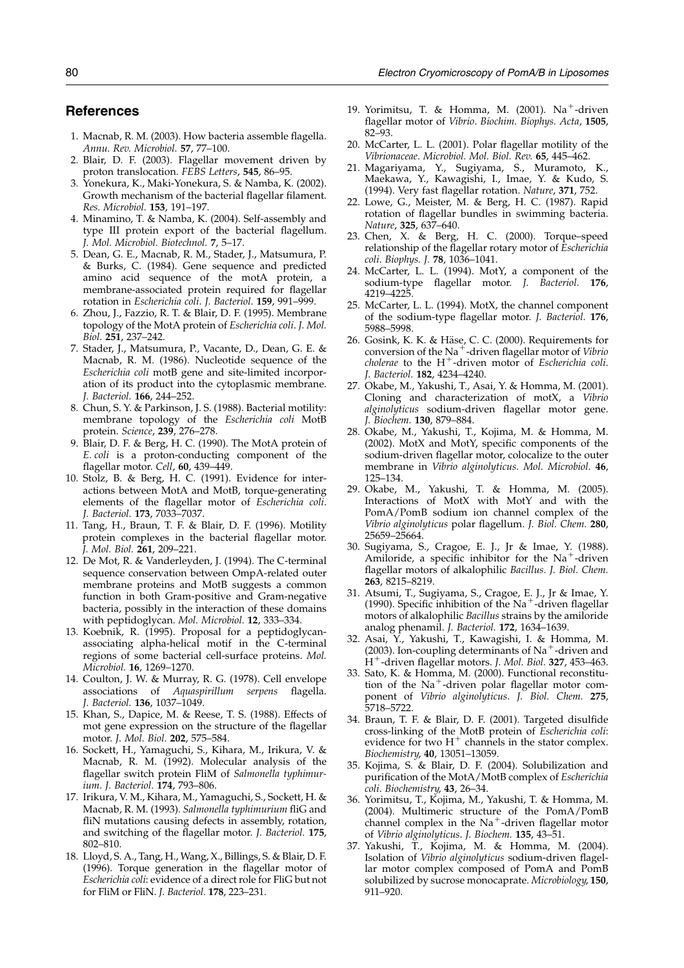# <span id="page-7-0"></span>**References**

- 1. Macnab, R. M. (2003). How bacteria assemble flagella. Annu. Rev. Microbiol. 57, 77–100.
- 2. Blair, D. F. (2003). Flagellar movement driven by proton translocation. FEBS Letters, 545, 86–95.
- 3. Yonekura, K., Maki-Yonekura, S. & Namba, K. (2002). Growth mechanism of the bacterial flagellar filament. Res. Microbiol. 153, 191–197.
- 4. Minamino, T. & Namba, K. (2004). Self-assembly and type III protein export of the bacterial flagellum. J. Mol. Microbiol. Biotechnol. 7, 5–17.
- 5. Dean, G. E., Macnab, R. M., Stader, J., Matsumura, P. & Burks, C. (1984). Gene sequence and predicted amino acid sequence of the motA protein, a membrane-associated protein required for flagellar rotation in Escherichia coli. J. Bacteriol. 159, 991–999.
- 6. Zhou, J., Fazzio, R. T. & Blair, D. F. (1995). Membrane topology of the MotA protein of Escherichia coli. J. Mol. Biol. 251, 237–242.
- 7. Stader, J., Matsumura, P., Vacante, D., Dean, G. E. & Macnab, R. M. (1986). Nucleotide sequence of the Escherichia coli motB gene and site-limited incorporation of its product into the cytoplasmic membrane. J. Bacteriol. 166, 244–252.
- 8. Chun, S. Y. & Parkinson, J. S. (1988). Bacterial motility: membrane topology of the Escherichia coli MotB protein. Science, 239, 276–278.
- 9. Blair, D. F. & Berg, H. C. (1990). The MotA protein of E. coli is a proton-conducting component of the flagellar motor. Cell, 60, 439–449.
- 10. Stolz, B. & Berg, H. C. (1991). Evidence for interactions between MotA and MotB, torque-generating elements of the flagellar motor of Escherichia coli. J. Bacteriol. 173, 7033–7037.
- 11. Tang, H., Braun, T. F. & Blair, D. F. (1996). Motility protein complexes in the bacterial flagellar motor. J. Mol. Biol. 261, 209–221.
- 12. De Mot, R. & Vanderleyden, J. (1994). The C-terminal sequence conservation between OmpA-related outer membrane proteins and MotB suggests a common function in both Gram-positive and Gram-negative bacteria, possibly in the interaction of these domains with peptidoglycan. Mol. Microbiol. 12, 333–334.
- 13. Koebnik, R. (1995). Proposal for a peptidoglycanassociating alpha-helical motif in the C-terminal regions of some bacterial cell-surface proteins. Mol. Microbiol. 16, 1269–1270.
- 14. Coulton, J. W. & Murray, R. G. (1978). Cell envelope associations of Aquaspirillum serpens flagella. J. Bacteriol. 136, 1037–1049.
- 15. Khan, S., Dapice, M. & Reese, T. S. (1988). Effects of mot gene expression on the structure of the flagellar motor. J. Mol. Biol. 202, 575–584.
- 16. Sockett, H., Yamaguchi, S., Kihara, M., Irikura, V. & Macnab, R. M. (1992). Molecular analysis of the flagellar switch protein FliM of Salmonella typhimurium. J. Bacteriol. 174, 793–806.
- 17. Irikura, V. M., Kihara, M., Yamaguchi, S., Sockett, H. & Macnab, R. M. (1993). Salmonella typhimurium fliG and fliN mutations causing defects in assembly, rotation, and switching of the flagellar motor. J. Bacteriol. 175, 802–810.
- 18. Lloyd, S. A., Tang, H., Wang, X., Billings, S. & Blair, D. F. (1996). Torque generation in the flagellar motor of Escherichia coli: evidence of a direct role for FliG but not for FliM or FliN. J. Bacteriol. 178, 223–231.
- 19. Yorimitsu, T. & Homma, M. (2001). Na<sup>+</sup>-driven flagellar motor of Vibrio. Biochim. Biophys. Acta, 1505, 82–93.
- 20. McCarter, L. L. (2001). Polar flagellar motility of the Vibrionaceae. Microbiol. Mol. Biol. Rev. 65, 445–462.
- 21. Magariyama, Y., Sugiyama, S., Muramoto, K., Maekawa, Y., Kawagishi, I., Imae, Y. & Kudo, S. (1994). Very fast flagellar rotation. Nature, 371, 752.
- 22. Lowe, G., Meister, M. & Berg, H. C. (1987). Rapid rotation of flagellar bundles in swimming bacteria. Nature, 325, 637–640.
- 23. Chen, X. & Berg, H. C. (2000). Torque–speed relationship of the flagellar rotary motor of Escherichia coli. Biophys. J. 78, 1036–1041.
- 24. McCarter, L. L. (1994). MotY, a component of the sodium-type flagellar motor. J. Bacteriol. 176, 4219–4225.
- 25. McCarter, L. L. (1994). MotX, the channel component of the sodium-type flagellar motor. J. Bacteriol. 176, 5988–5998.
- 26. Gosink, K. K. & Häse, C. C. (2000). Requirements for conversion of the Na<sup>+</sup>-driven flagellar motor of *Vibrio* cholerae to the  $H^+$ -driven motor of Escherichia coli. J. Bacteriol. 182, 4234–4240.
- 27. Okabe, M., Yakushi, T., Asai, Y. & Homma, M. (2001). Cloning and characterization of motX, a Vibrio alginolyticus sodium-driven flagellar motor gene. J. Biochem. 130, 879–884.
- 28. Okabe, M., Yakushi, T., Kojima, M. & Homma, M. (2002). MotX and MotY, specific components of the sodium-driven flagellar motor, colocalize to the outer membrane in Vibrio alginolyticus. Mol. Microbiol. 46, 125–134.
- 29. Okabe, M., Yakushi, T. & Homma, M. (2005). Interactions of MotX with MotY and with the PomA/PomB sodium ion channel complex of the Vibrio alginolyticus polar flagellum. J. Biol. Chem. 280, 25659–25664.
- 30. Sugiyama, S., Cragoe, E. J., Jr & Imae, Y. (1988). Amiloride, a specific inhibitor for the  $Na^+$ -driven flagellar motors of alkalophilic Bacillus. J. Biol. Chem. 263, 8215–8219.
- 31. Atsumi, T., Sugiyama, S., Cragoe, E. J., Jr & Imae, Y. (1990). Specific inhibition of the Na<sup>+-</sup>driven flagellar motors of alkalophilic Bacillus strains by the amiloride analog phenamil. J. Bacteriol. 172, 1634–1639.
- 32. Asai, Y., Yakushi, T., Kawagishi, I. & Homma, M. (2003). Ion-coupling determinants of Na<sup>+</sup>-driven and  $H^+$ -driven flagellar motors. J. Mol. Biol. 327, 453–463.
- 33. Sato, K. & Homma, M. (2000). Functional reconstitution of the  $Na^+$ -driven polar flagellar motor component of Vibrio alginolyticus. J. Biol. Chem. 275, 5718–5722.
- 34. Braun, T. F. & Blair, D. F. (2001). Targeted disulfide cross-linking of the MotB protein of Escherichia coli: evidence for two  $H^+$  channels in the stator complex. Biochemistry, 40, 13051–13059.
- 35. Kojima, S. & Blair, D. F. (2004). Solubilization and purification of the MotA/MotB complex of Escherichia coli. Biochemistry, 43, 26–34.
- 36. Yorimitsu, T., Kojima, M., Yakushi, T. & Homma, M. (2004). Multimeric structure of the PomA/PomB channel complex in the  $Na^+$ -driven flagellar motor of Vibrio alginolyticus. J. Biochem. 135, 43–51.
- 37. Yakushi, T., Kojima, M. & Homma, M. (2004). Isolation of Vibrio alginolyticus sodium-driven flagellar motor complex composed of PomA and PomB solubilized by sucrose monocaprate. Microbiology, 150, 911–920.